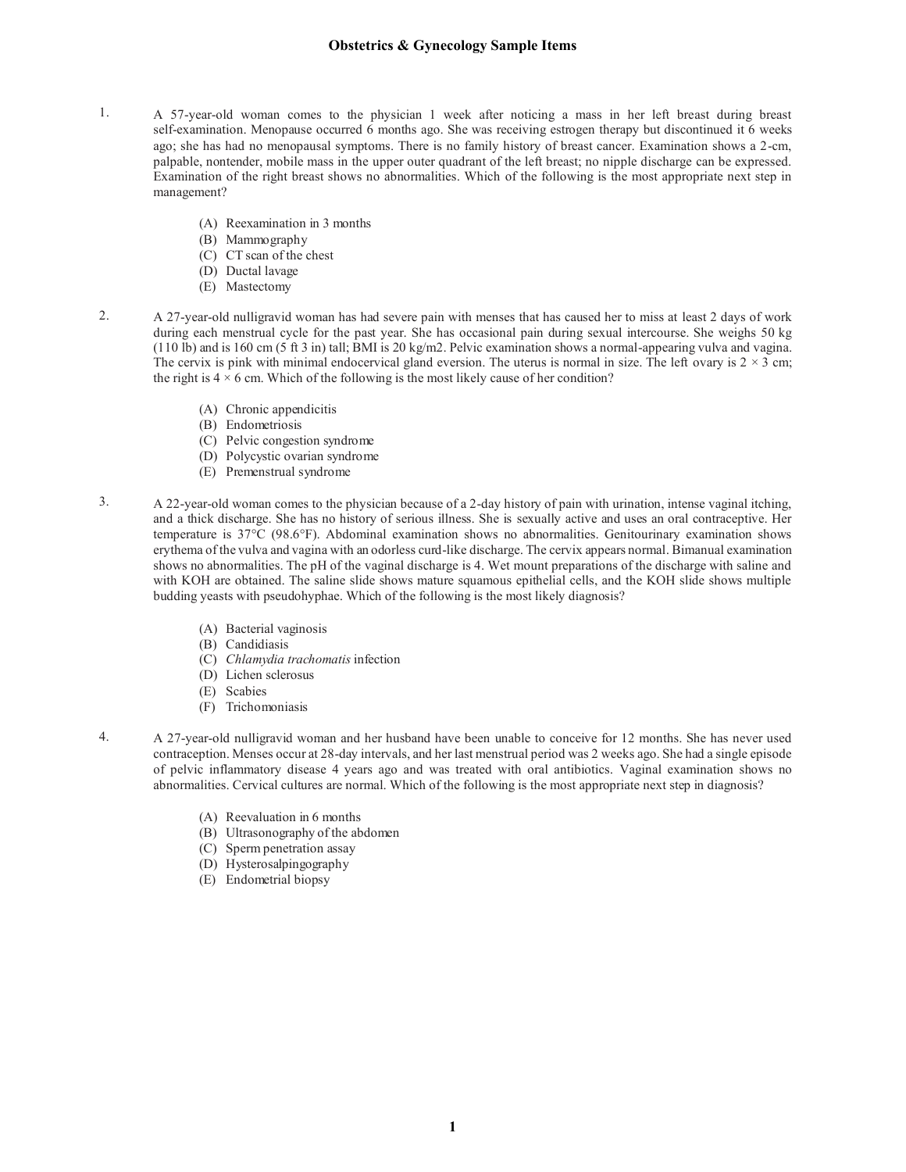- 1. A 57-year-old woman comes to the physician 1 week after noticing a mass in her left breast during breast self-examination. Menopause occurred 6 months ago. She was receiving estrogen therapy but discontinued it 6 weeks ago; she has had no menopausal symptoms. There is no family history of breast cancer. Examination shows a 2-cm, palpable, nontender, mobile mass in the upper outer quadrant of the left breast; no nipple discharge can be expressed. Examination of the right breast shows no abnormalities. Which of the following is the most appropriate next step in management?
	- (A) Reexamination in 3 months
	- (B) Mammography
	- (C) CT scan of the chest
	- (D) Ductal lavage
	- (E) Mastectomy
- 2. A 27-year-old nulligravid woman has had severe pain with menses that has caused her to miss at least 2 days of work during each menstrual cycle for the past year. She has occasional pain during sexual intercourse. She weighs 50 kg  $(110$  lb) and is 160 cm  $(5 \text{ ft } 3 \text{ in})$  tall; BMI is 20 kg/m2. Pelvic examination shows a normal-appearing vulva and vagina. The cervix is pink with minimal endocervical gland eversion. The uterus is normal in size. The left ovary is  $2 \times 3$  cm; the right is  $4 \times 6$  cm. Which of the following is the most likely cause of her condition?
	- (A) Chronic appendicitis
	- (B) Endometriosis
	- (C) Pelvic congestion syndrome
	- (D) Polycystic ovarian syndrome
	- (E) Premenstrual syndrome
- 3. A 22-year-old woman comes to the physician because of a 2-day history of pain with urination, intense vaginal itching, and a thick discharge. She has no history of serious illness. She is sexually active and uses an oral contraceptive. Her temperature is 37°C (98.6°F). Abdominal examination shows no abnormalities. Genitourinary examination shows erythema of the vulva and vagina with an odorless curd-like discharge. The cervix appears normal. Bimanual examination shows no abnormalities. The pH of the vaginal discharge is 4. Wet mount preparations of the discharge with saline and with KOH are obtained. The saline slide shows mature squamous epithelial cells, and the KOH slide shows multiple budding yeasts with pseudohyphae. Which of the following is the most likely diagnosis?
	- (A) Bacterial vaginosis
	- (B) Candidiasis
	- (C) *Chlamydia trachomatis* infection
	- (D) Lichen sclerosus
	- (E) Scabies
	- (F) Trichomoniasis
- 4. A 27-year-old nulligravid woman and her husband have been unable to conceive for 12 months. She has never used contraception. Menses occur at 28-day intervals, and her last menstrual period was 2 weeks ago. She had a single episode of pelvic inflammatory disease 4 years ago and was treated with oral antibiotics. Vaginal examination shows no abnormalities. Cervical cultures are normal. Which of the following is the most appropriate next step in diagnosis?
	- (A) Reevaluation in 6 months
	- (B) Ultrasonography of the abdomen
	- (C) Sperm penetration assay
	- (D) Hysterosalpingography
	- (E) Endometrial biopsy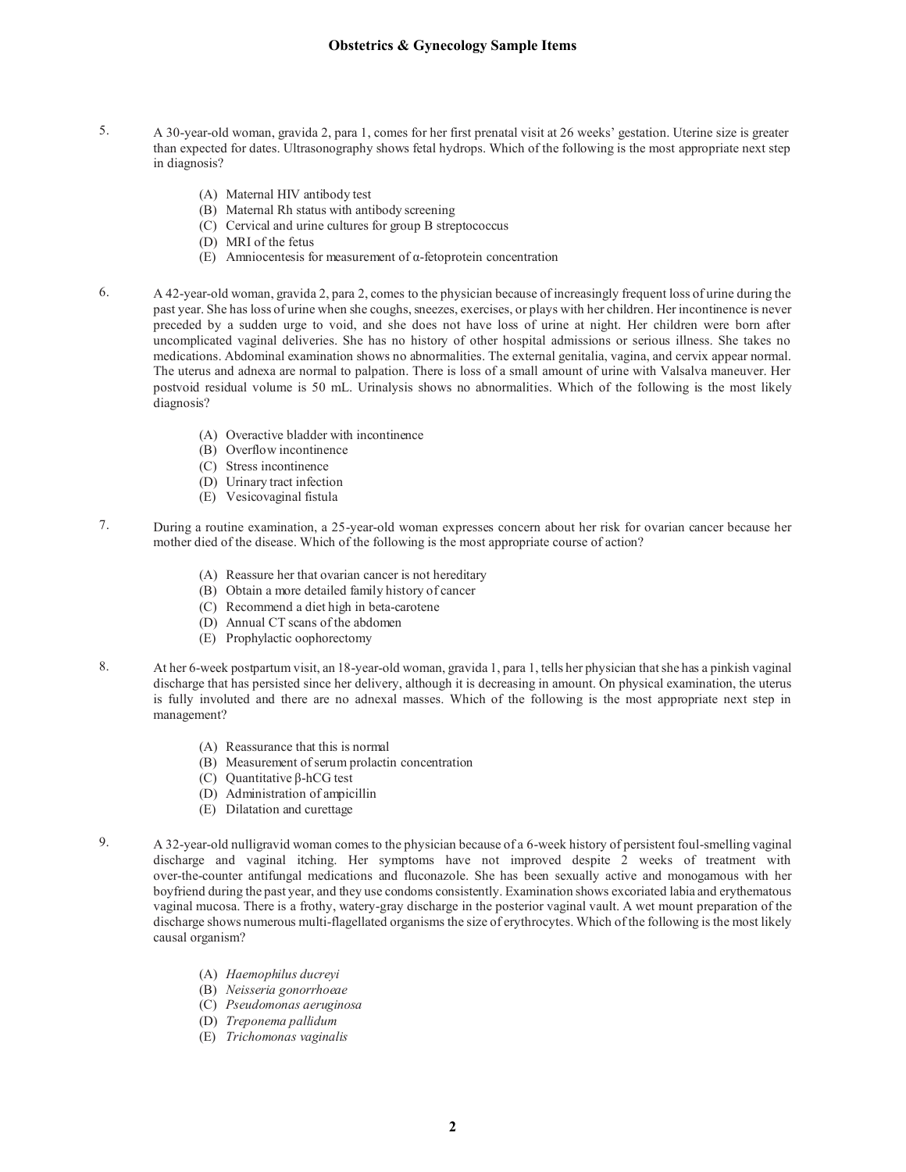- 5. A 30-year-old woman, gravida 2, para 1, comes for her first prenatal visit at 26 weeks' gestation. Uterine size is greater than expected for dates. Ultrasonography shows fetal hydrops. Which of the following is the most appropriate next step in diagnosis?
	- (A) Maternal HIV antibody test
	- (B) Maternal Rh status with antibody screening
	- (C) Cervical and urine cultures for group B streptococcus
	- (D) MRI of the fetus
	- (E) Amniocentesis for measurement of α-fetoprotein concentration
- 6. A 42-year-old woman, gravida 2, para 2, comes to the physician because of increasingly frequent loss of urine during the past year. She has loss of urine when she coughs, sneezes, exercises, or plays with her children. Her incontinence is never preceded by a sudden urge to void, and she does not have loss of urine at night. Her children were born after uncomplicated vaginal deliveries. She has no history of other hospital admissions or serious illness. She takes no medications. Abdominal examination shows no abnormalities. The external genitalia, vagina, and cervix appear normal. The uterus and adnexa are normal to palpation. There is loss of a small amount of urine with Valsalva maneuver. Her postvoid residual volume is 50 mL. Urinalysis shows no abnormalities. Which of the following is the most likely diagnosis?
	- (A) Overactive bladder with incontinence
	- (B) Overflow incontinence
	- (C) Stress incontinence
	- (D) Urinary tract infection
	- (E) Vesicovaginal fistula
- 7. During a routine examination, a 25-year-old woman expresses concern about her risk for ovarian cancer because her mother died of the disease. Which of the following is the most appropriate course of action?
	- (A) Reassure her that ovarian cancer is not hereditary
	- (B) Obtain a more detailed family history of cancer
	- (C) Recommend a diet high in beta-carotene
	- (D) Annual CT scans of the abdomen
	- (E) Prophylactic oophorectomy
- 8. At her 6-week postpartum visit, an 18-year-old woman, gravida 1, para 1, tells her physician that she has a pinkish vaginal discharge that has persisted since her delivery, although it is decreasing in amount. On physical examination, the uterus is fully involuted and there are no adnexal masses. Which of the following is the most appropriate next step in management?
	- (A) Reassurance that this is normal
	- (B) Measurement of serum prolactin concentration
	- (C) Quantitative β-hCG test
	- (D) Administration of ampicillin
	- (E) Dilatation and curettage
- 9. A 32-year-old nulligravid woman comes to the physician because of a 6-week history of persistent foul-smelling vaginal discharge and vaginal itching. Her symptoms have not improved despite 2 weeks of treatment with over-the-counter antifungal medications and fluconazole. She has been sexually active and monogamous with her boyfriend during the past year, and they use condoms consistently. Examination shows excoriated labia and erythematous vaginal mucosa. There is a frothy, watery-gray discharge in the posterior vaginal vault. A wet mount preparation of the discharge shows numerous multi-flagellated organisms the size of erythrocytes. Which of the following is the most likely causal organism?
	- (A) *Haemophilus ducreyi*
	- (B) *Neisseria gonorrhoeae*
	- (C) *Pseudomonas aeruginosa*
	- (D) *Treponema pallidum*
	- (E) *Trichomonas vaginalis*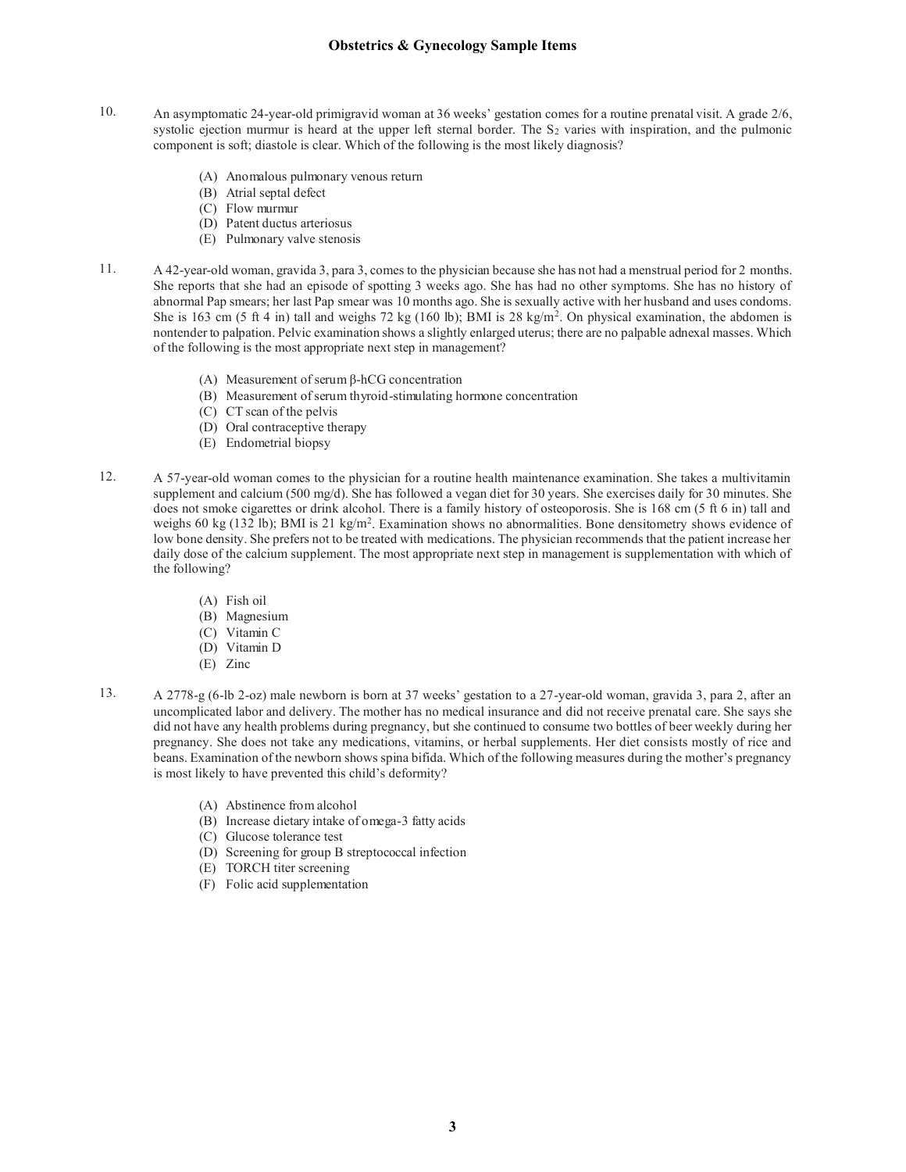- 10. An asymptomatic 24-year-old primigravid woman at 36 weeks' gestation comes for a routine prenatal visit. A grade 2/6, systolic ejection murmur is heard at the upper left sternal border. The  $S_2$  varies with inspiration, and the pulmonic component is soft; diastole is clear. Which of the following is the most likely diagnosis?
	- (A) Anomalous pulmonary venous return
	- (B) Atrial septal defect
	- (C) Flow murmur
	- (D) Patent ductus arteriosus
	- (E) Pulmonary valve stenosis
- 11. A 42-year-old woman, gravida 3, para 3, comes to the physician because she has not had a menstrual period for 2 months. She reports that she had an episode of spotting 3 weeks ago. She has had no other symptoms. She has no history of abnormal Pap smears; her last Pap smear was 10 months ago. She is sexually active with her husband and uses condoms. She is 163 cm (5 ft 4 in) tall and weighs 72 kg (160 lb); BMI is 28 kg/m<sup>2</sup>. On physical examination, the abdomen is nontender to palpation. Pelvic examination shows a slightly enlarged uterus; there are no palpable adnexal masses. Which of the following is the most appropriate next step in management?
	- (A) Measurement of serum β-hCG concentration
	- (B) Measurement of serum thyroid-stimulating hormone concentration
	- (C) CT scan of the pelvis
	- (D) Oral contraceptive therapy
	- (E) Endometrial biopsy
- 12. A 57-year-old woman comes to the physician for a routine health maintenance examination. She takes a multivitamin supplement and calcium (500 mg/d). She has followed a vegan diet for 30 years. She exercises daily for 30 minutes. She does not smoke cigarettes or drink alcohol. There is a family history of osteoporosis. She is 168 cm (5 ft 6 in) tall and weighs 60 kg (132 lb); BMI is 21 kg/m<sup>2</sup>. Examination shows no abnormalities. Bone densitometry shows evidence of low bone density. She prefers not to be treated with medications. The physician recommends that the patient increase her daily dose of the calcium supplement. The most appropriate next step in management is supplementation with which of the following?
	- (A) Fish oil
	- (B) Magnesium
	- (C) Vitamin C
	- (D) Vitamin D
	- (E) Zinc
- 13. A 2778-g (6-lb 2-oz) male newborn is born at 37 weeks' gestation to a 27-year-old woman, gravida 3, para 2, after an uncomplicated labor and delivery. The mother has no medical insurance and did not receive prenatal care. She says she did not have any health problems during pregnancy, but she continued to consume two bottles of beer weekly during her pregnancy. She does not take any medications, vitamins, or herbal supplements. Her diet consists mostly of rice and beans. Examination of the newborn shows spina bifida. Which of the following measures during the mother's pregnancy is most likely to have prevented this child's deformity?
	- (A) Abstinence from alcohol
	- (B) Increase dietary intake of omega-3 fatty acids
	- (C) Glucose tolerance test
	- (D) Screening for group B streptococcal infection
	- (E) TORCH titer screening
	- (F) Folic acid supplementation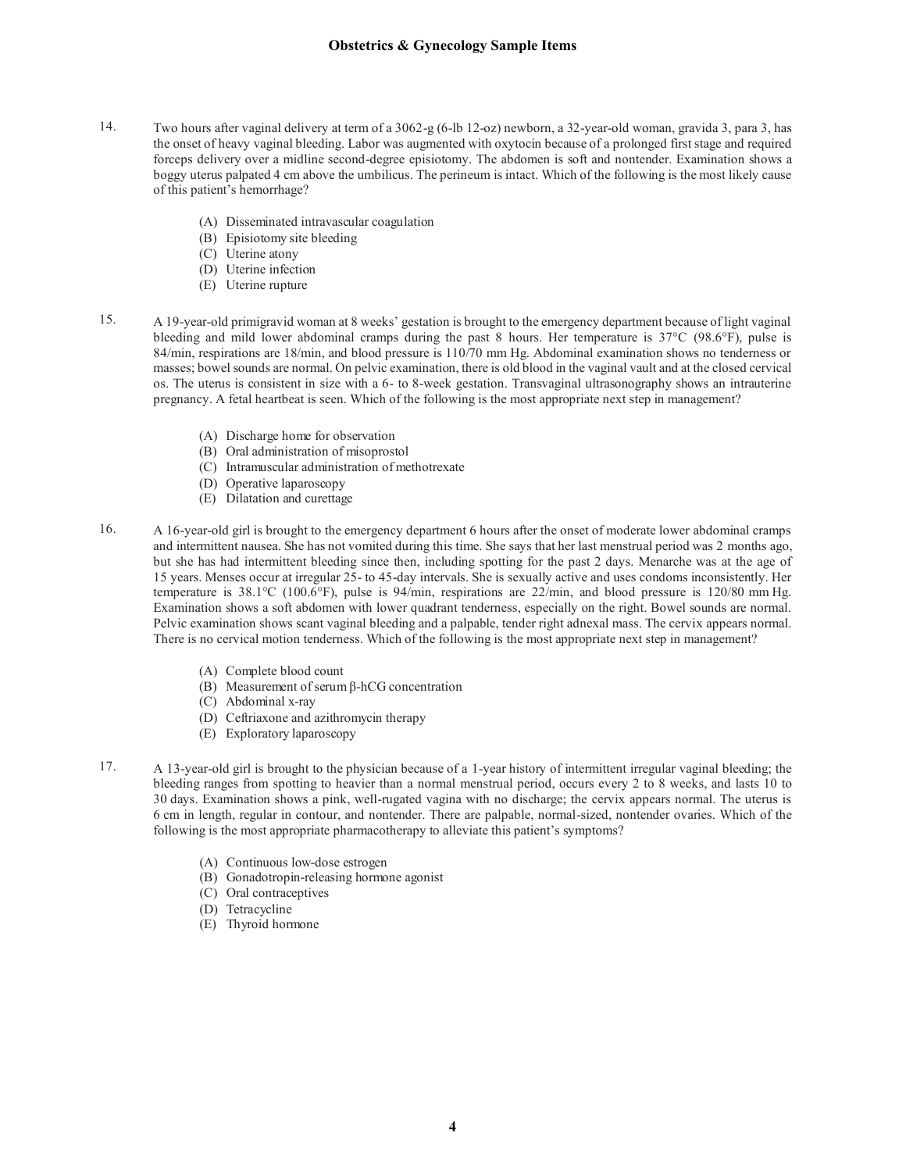- 14. Two hours after vaginal delivery at term of a 3062-g (6-lb 12-oz) newborn, a 32-year-old woman, gravida 3, para 3, has the onset of heavy vaginal bleeding. Labor was augmented with oxytocin because of a prolonged first stage and required forceps delivery over a midline second-degree episiotomy. The abdomen is soft and nontender. Examination shows a boggy uterus palpated 4 cm above the umbilicus. The perineum is intact. Which of the following is the most likely cause of this patient's hemorrhage?
	- (A) Disseminated intravascular coagulation
	- (B) Episiotomy site bleeding
	- (C) Uterine atony
	- (D) Uterine infection
	- (E) Uterine rupture
- 15. A 19-year-old primigravid woman at 8 weeks' gestation is brought to the emergency department because of light vaginal bleeding and mild lower abdominal cramps during the past 8 hours. Her temperature is 37°C (98.6°F), pulse is 84/min, respirations are 18/min, and blood pressure is 110/70 mm Hg. Abdominal examination shows no tenderness or masses; bowel sounds are normal. On pelvic examination, there is old blood in the vaginal vault and at the closed cervical os. The uterus is consistent in size with a 6- to 8-week gestation. Transvaginal ultrasonography shows an intrauterine pregnancy. A fetal heartbeat is seen. Which of the following is the most appropriate next step in management?
	- (A) Discharge home for observation
	- (B) Oral administration of misoprostol
	- (C) Intramuscular administration of methotrexate
	- (D) Operative laparoscopy
	- (E) Dilatation and curettage
- 16. A 16-year-old girl is brought to the emergency department 6 hours after the onset of moderate lower abdominal cramps and intermittent nausea. She has not vomited during this time. She says that her last menstrual period was 2 months ago, but she has had intermittent bleeding since then, including spotting for the past 2 days. Menarche was at the age of 15 years. Menses occur at irregular 25- to 45-day intervals. She is sexually active and uses condoms inconsistently. Her temperature is 38.1°C (100.6°F), pulse is 94/min, respirations are 22/min, and blood pressure is 120/80 mm Hg. Examination shows a soft abdomen with lower quadrant tenderness, especially on the right. Bowel sounds are normal. Pelvic examination shows scant vaginal bleeding and a palpable, tender right adnexal mass. The cervix appears normal. There is no cervical motion tenderness. Which of the following is the most appropriate next step in management?
	- (A) Complete blood count
	- (B) Measurement of serum β-hCG concentration
	- (C) Abdominal x-ray
	- (D) Ceftriaxone and azithromycin therapy
	- (E) Exploratory laparoscopy
- 17. A 13-year-old girl is brought to the physician because of a 1-year history of intermittent irregular vaginal bleeding; the bleeding ranges from spotting to heavier than a normal menstrual period, occurs every 2 to 8 weeks, and lasts 10 to 30 days. Examination shows a pink, well-rugated vagina with no discharge; the cervix appears normal. The uterus is 6 cm in length, regular in contour, and nontender. There are palpable, normal-sized, nontender ovaries. Which of the following is the most appropriate pharmacotherapy to alleviate this patient's symptoms?
	- (A) Continuous low-dose estrogen
	- (B) Gonadotropin-releasing hormone agonist
	- (C) Oral contraceptives
	- (D) Tetracycline
	- (E) Thyroid hormone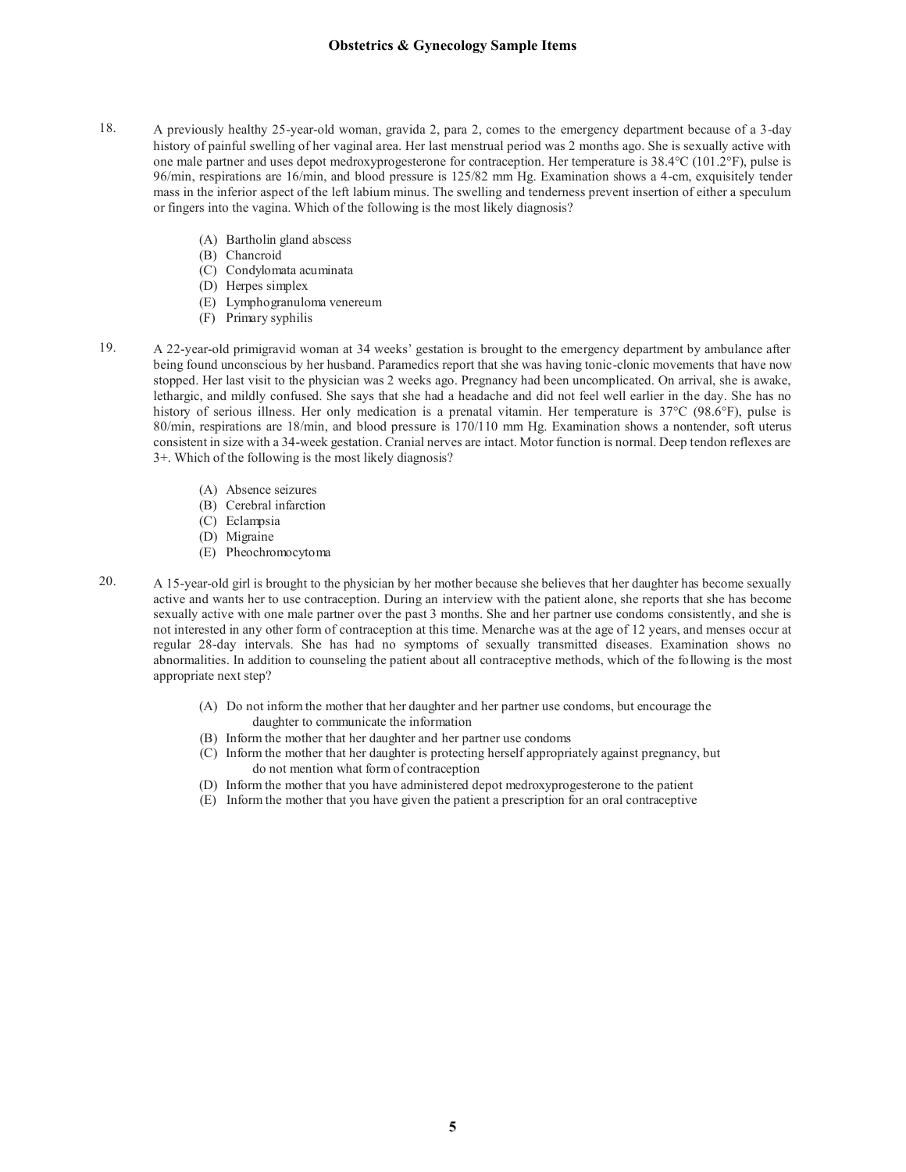- 18. A previously healthy 25-year-old woman, gravida 2, para 2, comes to the emergency department because of a 3-day history of painful swelling of her vaginal area. Her last menstrual period was 2 months ago. She is sexually active with one male partner and uses depot medroxyprogesterone for contraception. Her temperature is 38.4°C (101.2°F), pulse is 96/min, respirations are 16/min, and blood pressure is 125/82 mm Hg. Examination shows a 4-cm, exquisitely tender mass in the inferior aspect of the left labium minus. The swelling and tenderness prevent insertion of either a speculum or fingers into the vagina. Which of the following is the most likely diagnosis?
	- (A) Bartholin gland abscess
	- (B) Chancroid
	- (C) Condylomata acuminata
	- (D) Herpes simplex
	- (E) Lymphogranuloma venereum
	- (F) Primary syphilis
- 19. A 22-year-old primigravid woman at 34 weeks' gestation is brought to the emergency department by ambulance after being found unconscious by her husband. Paramedics report that she was having tonic-clonic movements that have now stopped. Her last visit to the physician was 2 weeks ago. Pregnancy had been uncomplicated. On arrival, she is awake, lethargic, and mildly confused. She says that she had a headache and did not feel well earlier in the day. She has no history of serious illness. Her only medication is a prenatal vitamin. Her temperature is 37°C (98.6°F), pulse is 80/min, respirations are 18/min, and blood pressure is 170/110 mm Hg. Examination shows a nontender, soft uterus consistent in size with a 34-week gestation. Cranial nerves are intact. Motor function is normal. Deep tendon reflexes are 3+. Which of the following is the most likely diagnosis?
	- (A) Absence seizures
	- (B) Cerebral infarction
	- (C) Eclampsia
	- (D) Migraine
	- (E) Pheochromocytoma
- 20. A 15-year-old girl is brought to the physician by her mother because she believes that her daughter has become sexually active and wants her to use contraception. During an interview with the patient alone, she reports that she has become sexually active with one male partner over the past 3 months. She and her partner use condoms consistently, and she is not interested in any other form of contraception at this time. Menarche was at the age of 12 years, and menses occur at regular 28-day intervals. She has had no symptoms of sexually transmitted diseases. Examination shows no abnormalities. In addition to counseling the patient about all contraceptive methods, which of the following is the most appropriate next step?
	- (A) Do not inform the mother that her daughter and her partner use condoms, but encourage the daughter to communicate the information
	- (B) Inform the mother that her daughter and her partner use condoms
	- (C) Inform the mother that her daughter is protecting herself appropriately against pregnancy, but do not mention what form of contraception
	- (D) Inform the mother that you have administered depot medroxyprogesterone to the patient
	- (E) Inform the mother that you have given the patient a prescription for an oral contraceptive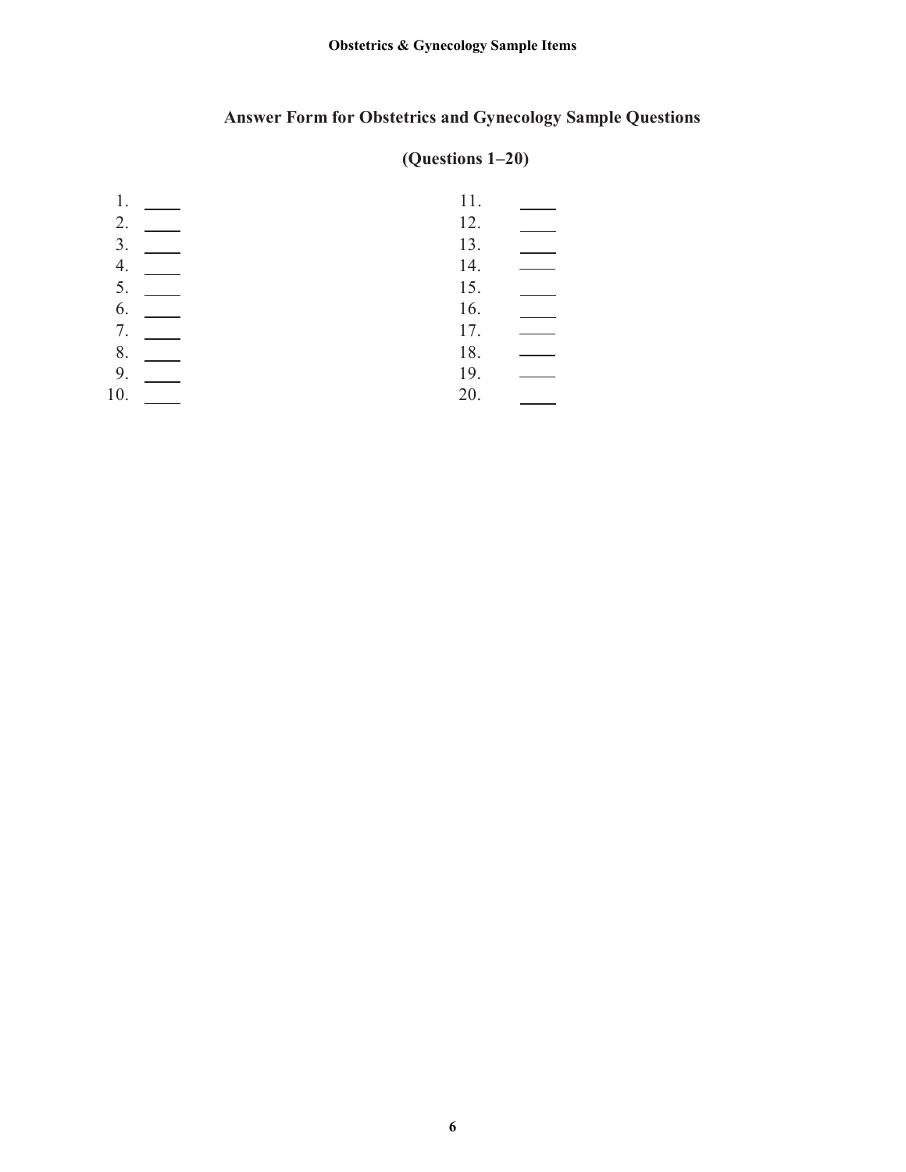# **Answer Form for Obstetrics and Gynecology Sample Questions**

# **(Questions 1–20)**

| 1.  | 11. |  |
|-----|-----|--|
| 2.  | 12. |  |
| 3.  | 13. |  |
| 4.  | 14. |  |
| 5.  | 15. |  |
| 6.  | 16. |  |
| 7.  | 17. |  |
| 8.  | 18. |  |
| 9.  | 19. |  |
| 10. | 20. |  |